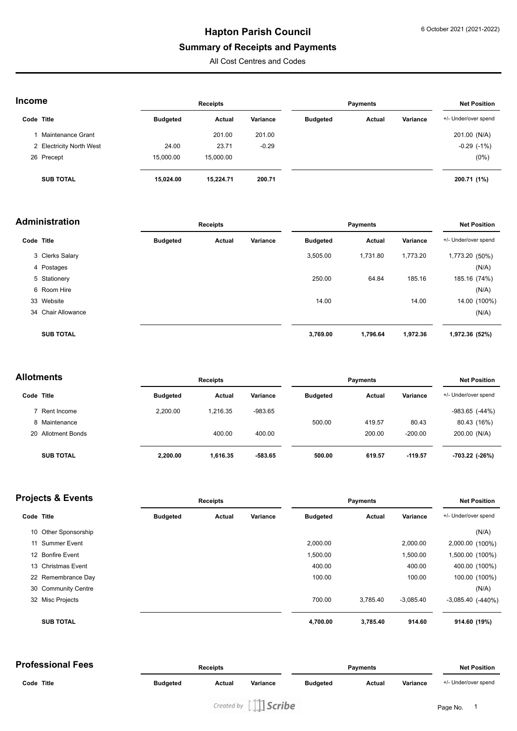# **Hapton Parish Council**

### **Summary of Receipts and Payments**

All Cost Centres and Codes

| <b>Income</b> |                          | <b>Receipts</b> |           |          | <b>Payments</b> |        |          | <b>Net Position</b>  |  |
|---------------|--------------------------|-----------------|-----------|----------|-----------------|--------|----------|----------------------|--|
| Code Title    |                          | <b>Budgeted</b> | Actual    | Variance | <b>Budgeted</b> | Actual | Variance | +/- Under/over spend |  |
|               | Maintenance Grant        |                 | 201.00    | 201.00   |                 |        |          | 201.00 (N/A)         |  |
|               | 2 Electricity North West | 24.00           | 23.71     | $-0.29$  |                 |        |          | $-0.29$ $(-1%)$      |  |
|               | 26 Precept               | 15,000.00       | 15,000.00 |          |                 |        |          | $(0\%)$              |  |
|               | <b>SUB TOTAL</b>         | 15,024.00       | 15,224.71 | 200.71   |                 |        |          | 200.71 (1%)          |  |

#### **Administration Receipts Payments Net Position**

|            |                    |                 |        |          | .               |               |          | .                    |  |
|------------|--------------------|-----------------|--------|----------|-----------------|---------------|----------|----------------------|--|
| Code Title |                    | <b>Budgeted</b> | Actual | Variance | <b>Budgeted</b> | <b>Actual</b> | Variance | +/- Under/over spend |  |
|            | 3 Clerks Salary    |                 |        |          | 3,505.00        | 1,731.80      | 1,773.20 | 1,773.20 (50%)       |  |
|            | 4 Postages         |                 |        |          |                 |               |          | (N/A)                |  |
|            | 5 Stationery       |                 |        |          | 250.00          | 64.84         | 185.16   | 185.16 (74%)         |  |
|            | 6 Room Hire        |                 |        |          |                 |               |          | (N/A)                |  |
|            | 33 Website         |                 |        |          | 14.00           |               | 14.00    | 14.00 (100%)         |  |
|            | 34 Chair Allowance |                 |        |          |                 |               |          | (N/A)                |  |
|            | <b>SUB TOTAL</b>   |                 |        |          | 3,769.00        | 1,796.64      | 1,972.36 | 1,972.36 (52%)       |  |

| Allotments |                    |                 | <b>Receipts</b> |           |                 | Payments      |           |                      |
|------------|--------------------|-----------------|-----------------|-----------|-----------------|---------------|-----------|----------------------|
| Code Title |                    | <b>Budgeted</b> | Actual          | Variance  | <b>Budgeted</b> | <b>Actual</b> | Variance  | +/- Under/over spend |
|            | 7 Rent Income      | 2.200.00        | 1.216.35        | $-983.65$ |                 |               |           | $-983.65$ $(-44%)$   |
|            | 8 Maintenance      |                 |                 |           | 500.00          | 419.57        | 80.43     | 80.43 (16%)          |
|            | 20 Allotment Bonds |                 | 400.00          | 400.00    |                 | 200.00        | $-200.00$ | 200.00 (N/A)         |
|            | <b>SUB TOTAL</b>   | 2,200.00        | 1,616.35        | -583.65   | 500.00          | 619.57        | $-119.57$ | -703.22 (-26%)       |

| <b>Projects &amp; Events</b> |                      | <b>Receipts</b> |        |          | <b>Payments</b> |          |             | <b>Net Position</b>    |  |
|------------------------------|----------------------|-----------------|--------|----------|-----------------|----------|-------------|------------------------|--|
| Code Title                   |                      | <b>Budgeted</b> | Actual | Variance | <b>Budgeted</b> | Actual   | Variance    | +/- Under/over spend   |  |
|                              | 10 Other Sponsorship |                 |        |          |                 |          |             | (N/A)                  |  |
|                              | 11 Summer Event      |                 |        |          | 2,000.00        |          | 2,000.00    | 2,000.00 (100%)        |  |
|                              | 12 Bonfire Event     |                 |        |          | 1,500.00        |          | 1,500.00    | 1,500.00 (100%)        |  |
|                              | 13 Christmas Event   |                 |        |          | 400.00          |          | 400.00      | 400.00 (100%)          |  |
|                              | 22 Remembrance Day   |                 |        |          | 100.00          |          | 100.00      | 100.00 (100%)          |  |
|                              | 30 Community Centre  |                 |        |          |                 |          |             | (N/A)                  |  |
|                              | 32 Misc Projects     |                 |        |          | 700.00          | 3.785.40 | $-3,085.40$ | $-3,085.40$ $(-440\%)$ |  |
|                              | <b>SUB TOTAL</b>     |                 |        |          | 4,700.00        | 3,785.40 | 914.60      | 914.60 (19%)           |  |

| <b>Professional Fees</b> | <b>Receipts</b> |        |          | Pavments        |        |          | <b>Net Position</b>  |  |
|--------------------------|-----------------|--------|----------|-----------------|--------|----------|----------------------|--|
| Code Title               | <b>Budgeted</b> | Actual | Variance | <b>Budgeted</b> | Actual | Variance | +/- Under/over spend |  |
|                          |                 |        |          |                 |        |          |                      |  |